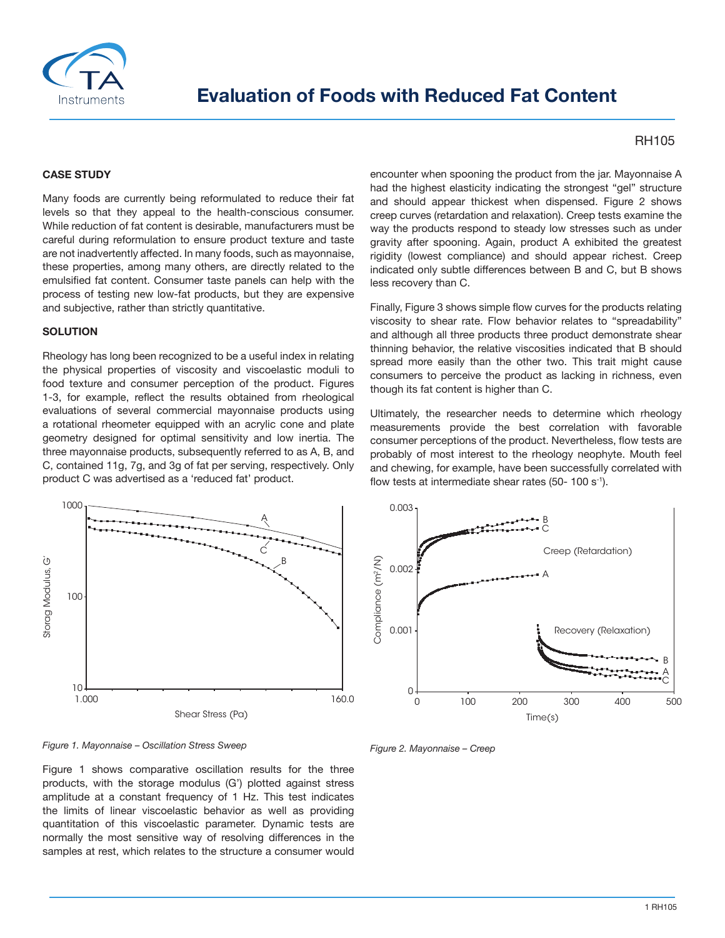

# **Evaluation of Foods with Reduced Fat Content**

## RH105

#### **CASE STUDY**

Many foods are currently being reformulated to reduce their fat levels so that they appeal to the health-conscious consumer. While reduction of fat content is desirable, manufacturers must be careful during reformulation to ensure product texture and taste are not inadvertently affected. In many foods, such as mayonnaise, these properties, among many others, are directly related to the emulsified fat content. Consumer taste panels can help with the process of testing new low-fat products, but they are expensive and subjective, rather than strictly quantitative.

#### **SOLUTION**

Rheology has long been recognized to be a useful index in relating the physical properties of viscosity and viscoelastic moduli to food texture and consumer perception of the product. Figures 1-3, for example, reflect the results obtained from rheological evaluations of several commercial mayonnaise products using a rotational rheometer equipped with an acrylic cone and plate geometry designed for optimal sensitivity and low inertia. The three mayonnaise products, subsequently referred to as A, B, and C, contained 11g, 7g, and 3g of fat per serving, respectively. Only product C was advertised as a 'reduced fat' product.



*Figure 1. Mayonnaise – Oscillation Stress Sweep*

Figure 1 shows comparative oscillation results for the three products, with the storage modulus (G') plotted against stress amplitude at a constant frequency of 1 Hz. This test indicates the limits of linear viscoelastic behavior as well as providing quantitation of this viscoelastic parameter. Dynamic tests are normally the most sensitive way of resolving differences in the samples at rest, which relates to the structure a consumer would encounter when spooning the product from the jar. Mayonnaise A had the highest elasticity indicating the strongest "gel" structure and should appear thickest when dispensed. Figure 2 shows creep curves (retardation and relaxation). Creep tests examine the way the products respond to steady low stresses such as under gravity after spooning. Again, product A exhibited the greatest rigidity (lowest compliance) and should appear richest. Creep indicated only subtle differences between B and C, but B shows less recovery than C.

Finally, Figure 3 shows simple flow curves for the products relating viscosity to shear rate. Flow behavior relates to "spreadability" and although all three products three product demonstrate shear thinning behavior, the relative viscosities indicated that B should spread more easily than the other two. This trait might cause consumers to perceive the product as lacking in richness, even though its fat content is higher than C.

Ultimately, the researcher needs to determine which rheology measurements provide the best correlation with favorable consumer perceptions of the product. Nevertheless, flow tests are probably of most interest to the rheology neophyte. Mouth feel and chewing, for example, have been successfully correlated with flow tests at intermediate shear rates (50- 100 s<sup>-1</sup>).



*Figure 2. Mayonnaise – Creep*